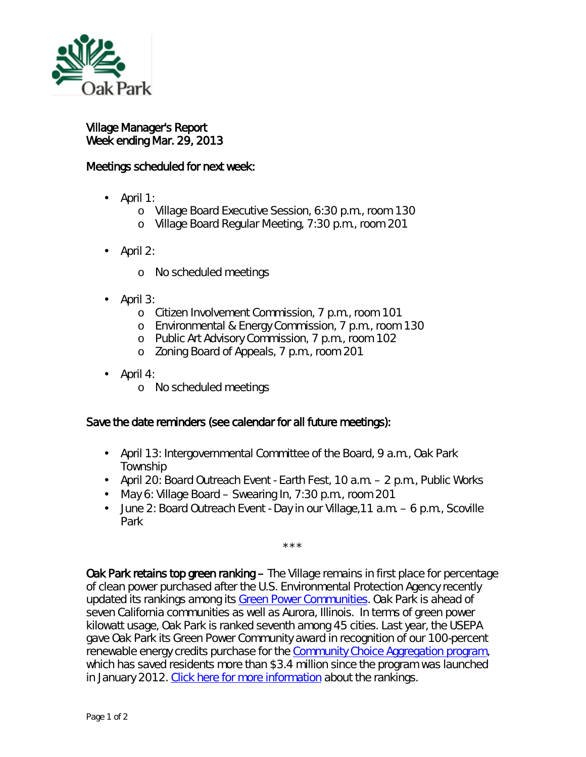

## Village Manager's Report Week ending Mar. 29, 2013

## Meetings scheduled for next week:

- $\cdot$  April 1:
	- o Village Board Executive Session, 6:30 p.m., room 130
	- o Village Board Regular Meeting, 7:30 p.m., room 201
- April 2:
	- o No scheduled meetings
- April 3:
	- o Citizen Involvement Commission, 7 p.m., room 101
	- o Environmental & Energy Commission, 7 p.m., room 130
	- o Public Art Advisory Commission, 7 p.m., room 102
	- <sup>o</sup> Zoning Board of Appeals, 7 p.m., room 201
- April 4:
	- o No scheduled meetings

## Save the date reminders (see calendar for all future meetings):

- April 13: Intergovernmental Committee of the Board, 9 a.m., Oak Park Township
- April 20: Board Outreach Event Earth Fest, 10 a.m. 2 p.m., Public Works
- May 6: Village Board Swearing In, 7:30 p.m., room 201
- $\mathbf{r}$ June 2: Board Outreach Event - Day in our Village,11 a.m. – 6 p.m., Scoville Park

\*\*\*

Oak Park retains top green ranking – The Village remains in first place for percentage of clean power purchased after the U.S. Environmental Protection Agency recently updated its rankings among its [Green Power Communities.](http://www.epa.gov/greenpower/communities/index.htm) Oak Park is ahead of seven California communities as well as Aurora, Illinois. In terms of green power kilowatt usage, Oak Park is ranked seventh among 45 cities. Last year, the USEPA gave Oak Park its Green Power Community award in recognition of our 100-percent renewable energy credits purchase for the [Community Choice Aggregation program,](http://www.oak-park.us/aggregation) which has saved residents more than \$3.4 million since the program was launched in January 2012. [Click here for more information](http://www.epa.gov/greenpower/communities/gpcrankings.htm) about the rankings.